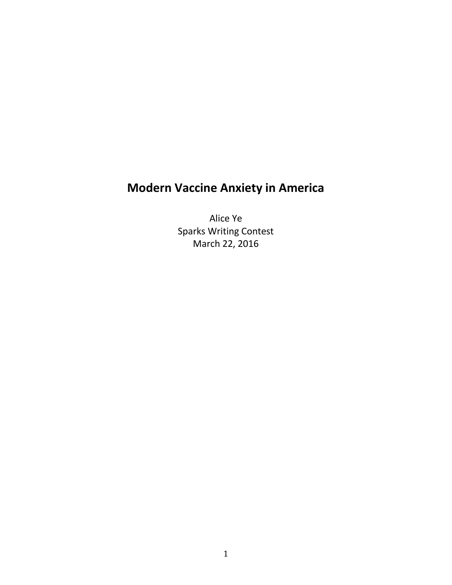# **Modern Vaccine Anxiety in America**

Alice Ye Sparks Writing Contest March 22, 2016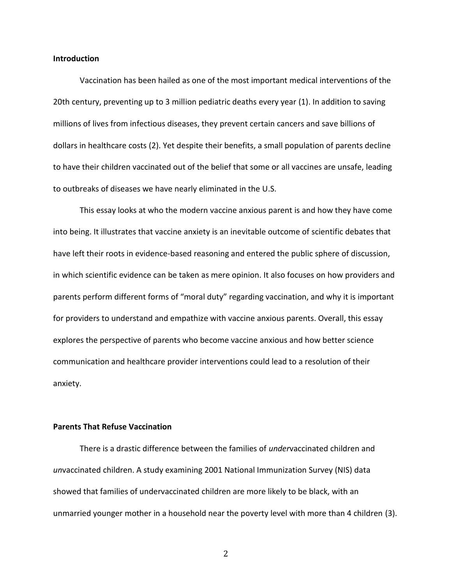#### **Introduction**

Vaccination has been hailed as one of the most important medical interventions of the 20th century, preventing up to 3 million pediatric deaths every year (1). In addition to saving millions of lives from infectious diseases, they prevent certain cancers and save billions of dollars in healthcare costs (2). Yet despite their benefits, a small population of parents decline to have their children vaccinated out of the belief that some or all vaccines are unsafe, leading to outbreaks of diseases we have nearly eliminated in the U.S.

This essay looks at who the modern vaccine anxious parent is and how they have come into being. It illustrates that vaccine anxiety is an inevitable outcome of scientific debates that have left their roots in evidence-based reasoning and entered the public sphere of discussion, in which scientific evidence can be taken as mere opinion. It also focuses on how providers and parents perform different forms of "moral duty" regarding vaccination, and why it is important for providers to understand and empathize with vaccine anxious parents. Overall, this essay explores the perspective of parents who become vaccine anxious and how better science communication and healthcare provider interventions could lead to a resolution of their anxiety.

## **Parents That Refuse Vaccination**

There is a drastic difference between the families of *under*vaccinated children and *un*vaccinated children. A study examining 2001 National Immunization Survey (NIS) data showed that families of undervaccinated children are more likely to be black, with an unmarried younger mother in a household near the poverty level with more than 4 children (3).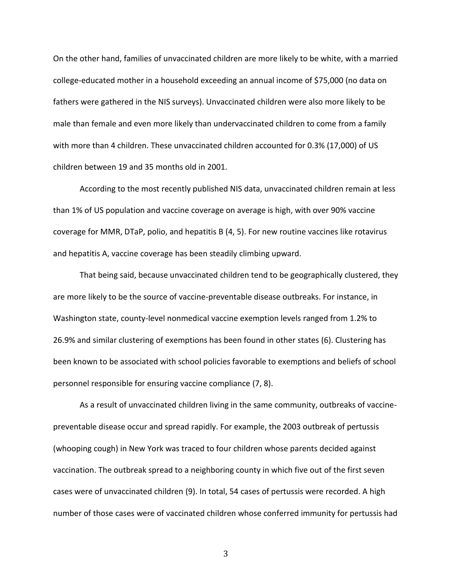On the other hand, families of unvaccinated children are more likely to be white, with a married college-educated mother in a household exceeding an annual income of \$75,000 (no data on fathers were gathered in the NIS surveys). Unvaccinated children were also more likely to be male than female and even more likely than undervaccinated children to come from a family with more than 4 children. These unvaccinated children accounted for 0.3% (17,000) of US children between 19 and 35 months old in 2001.

According to the most recently published NIS data, unvaccinated children remain at less than 1% of US population and vaccine coverage on average is high, with over 90% vaccine coverage for MMR, DTaP, polio, and hepatitis B (4, 5). For new routine vaccines like rotavirus and hepatitis A, vaccine coverage has been steadily climbing upward.

That being said, because unvaccinated children tend to be geographically clustered, they are more likely to be the source of vaccine-preventable disease outbreaks. For instance, in Washington state, county-level nonmedical vaccine exemption levels ranged from 1.2% to 26.9% and similar clustering of exemptions has been found in other states (6). Clustering has been known to be associated with school policies favorable to exemptions and beliefs of school personnel responsible for ensuring vaccine compliance (7, 8).

As a result of unvaccinated children living in the same community, outbreaks of vaccinepreventable disease occur and spread rapidly. For example, the 2003 outbreak of pertussis (whooping cough) in New York was traced to four children whose parents decided against vaccination. The outbreak spread to a neighboring county in which five out of the first seven cases were of unvaccinated children (9). In total, 54 cases of pertussis were recorded. A high number of those cases were of vaccinated children whose conferred immunity for pertussis had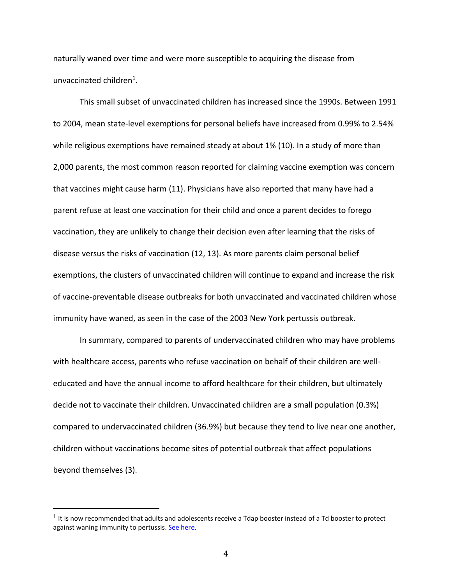naturally waned over time and were more susceptible to acquiring the disease from unvaccinated children<sup>1</sup>.

This small subset of unvaccinated children has increased since the 1990s. Between 1991 to 2004, mean state-level exemptions for personal beliefs have increased from 0.99% to 2.54% while religious exemptions have remained steady at about 1% (10). In a study of more than 2,000 parents, the most common reason reported for claiming vaccine exemption was concern that vaccines might cause harm (11). Physicians have also reported that many have had a parent refuse at least one vaccination for their child and once a parent decides to forego vaccination, they are unlikely to change their decision even after learning that the risks of disease versus the risks of vaccination (12, 13). As more parents claim personal belief exemptions, the clusters of unvaccinated children will continue to expand and increase the risk of vaccine-preventable disease outbreaks for both unvaccinated and vaccinated children whose immunity have waned, as seen in the case of the 2003 New York pertussis outbreak.

In summary, compared to parents of undervaccinated children who may have problems with healthcare access, parents who refuse vaccination on behalf of their children are welleducated and have the annual income to afford healthcare for their children, but ultimately decide not to vaccinate their children. Unvaccinated children are a small population (0.3%) compared to undervaccinated children (36.9%) but because they tend to live near one another, children without vaccinations become sites of potential outbreak that affect populations beyond themselves (3).

 $\overline{\phantom{a}}$ 

 $1$  It is now recommended that adults and adolescents receive a Tdap booster instead of a Td booster to protect against waning immunity to pertussis. [See here.](http://www.cdc.gov/vaccines/vpd-vac/pertussis/default.htm?s_cid=cs_074#recs)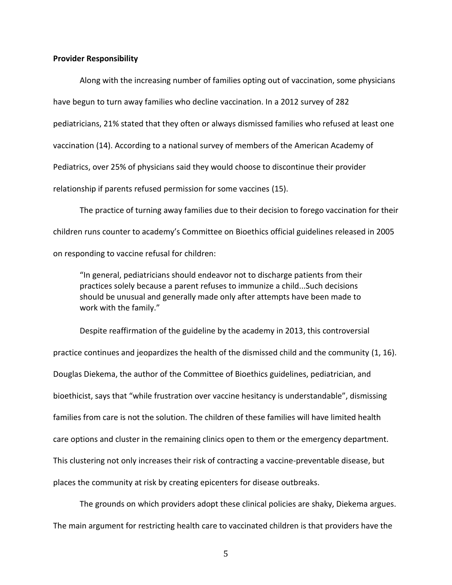#### **Provider Responsibility**

Along with the increasing number of families opting out of vaccination, some physicians have begun to turn away families who decline vaccination. In a 2012 survey of 282 pediatricians, 21% stated that they often or always dismissed families who refused at least one vaccination (14). According to a national survey of members of the American Academy of Pediatrics, over 25% of physicians said they would choose to discontinue their provider relationship if parents refused permission for some vaccines (15).

The practice of turning away families due to their decision to forego vaccination for their children runs counter to academy's Committee on Bioethics official guidelines released in 2005 on responding to vaccine refusal for children:

"In general, pediatricians should endeavor not to discharge patients from their practices solely because a parent refuses to immunize a child...Such decisions should be unusual and generally made only after attempts have been made to work with the family."

Despite reaffirmation of the guideline by the academy in 2013, this controversial practice continues and jeopardizes the health of the dismissed child and the community (1, 16). Douglas Diekema, the author of the Committee of Bioethics guidelines, pediatrician, and bioethicist, says that "while frustration over vaccine hesitancy is understandable", dismissing families from care is not the solution. The children of these families will have limited health care options and cluster in the remaining clinics open to them or the emergency department. This clustering not only increases their risk of contracting a vaccine-preventable disease, but places the community at risk by creating epicenters for disease outbreaks.

The grounds on which providers adopt these clinical policies are shaky, Diekema argues. The main argument for restricting health care to vaccinated children is that providers have the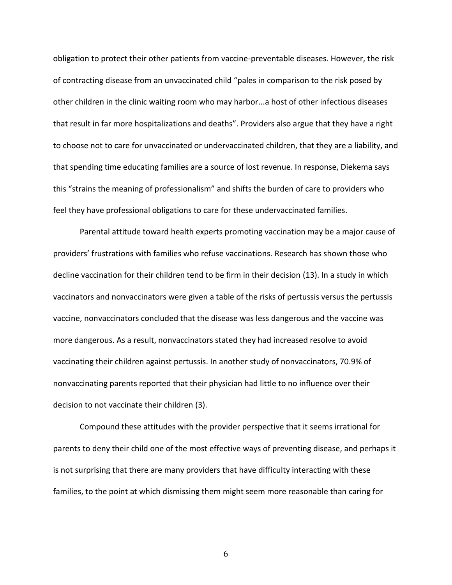obligation to protect their other patients from vaccine-preventable diseases. However, the risk of contracting disease from an unvaccinated child "pales in comparison to the risk posed by other children in the clinic waiting room who may harbor...a host of other infectious diseases that result in far more hospitalizations and deaths". Providers also argue that they have a right to choose not to care for unvaccinated or undervaccinated children, that they are a liability, and that spending time educating families are a source of lost revenue. In response, Diekema says this "strains the meaning of professionalism" and shifts the burden of care to providers who feel they have professional obligations to care for these undervaccinated families.

Parental attitude toward health experts promoting vaccination may be a major cause of providers' frustrations with families who refuse vaccinations. Research has shown those who decline vaccination for their children tend to be firm in their decision (13). In a study in which vaccinators and nonvaccinators were given a table of the risks of pertussis versus the pertussis vaccine, nonvaccinators concluded that the disease was less dangerous and the vaccine was more dangerous. As a result, nonvaccinators stated they had increased resolve to avoid vaccinating their children against pertussis. In another study of nonvaccinators, 70.9% of nonvaccinating parents reported that their physician had little to no influence over their decision to not vaccinate their children (3).

Compound these attitudes with the provider perspective that it seems irrational for parents to deny their child one of the most effective ways of preventing disease, and perhaps it is not surprising that there are many providers that have difficulty interacting with these families, to the point at which dismissing them might seem more reasonable than caring for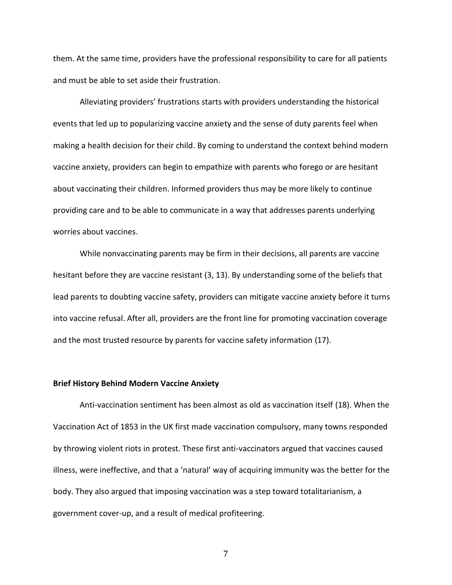them. At the same time, providers have the professional responsibility to care for all patients and must be able to set aside their frustration.

Alleviating providers' frustrations starts with providers understanding the historical events that led up to popularizing vaccine anxiety and the sense of duty parents feel when making a health decision for their child. By coming to understand the context behind modern vaccine anxiety, providers can begin to empathize with parents who forego or are hesitant about vaccinating their children. Informed providers thus may be more likely to continue providing care and to be able to communicate in a way that addresses parents underlying worries about vaccines.

While nonvaccinating parents may be firm in their decisions, all parents are vaccine hesitant before they are vaccine resistant (3, 13). By understanding some of the beliefs that lead parents to doubting vaccine safety, providers can mitigate vaccine anxiety before it turns into vaccine refusal. After all, providers are the front line for promoting vaccination coverage and the most trusted resource by parents for vaccine safety information (17).

## **Brief History Behind Modern Vaccine Anxiety**

Anti-vaccination sentiment has been almost as old as vaccination itself (18). When the Vaccination Act of 1853 in the UK first made vaccination compulsory, many towns responded by throwing violent riots in protest. These first anti-vaccinators argued that vaccines caused illness, were ineffective, and that a 'natural' way of acquiring immunity was the better for the body. They also argued that imposing vaccination was a step toward totalitarianism, a government cover-up, and a result of medical profiteering.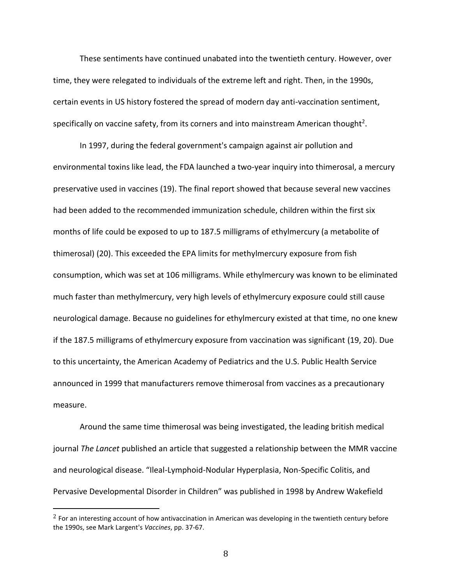These sentiments have continued unabated into the twentieth century. However, over time, they were relegated to individuals of the extreme left and right. Then, in the 1990s, certain events in US history fostered the spread of modern day anti-vaccination sentiment, specifically on vaccine safety, from its corners and into mainstream American thought<sup>2</sup>.

In 1997, during the federal government's campaign against air pollution and environmental toxins like lead, the FDA launched a two-year inquiry into thimerosal, a mercury preservative used in vaccines (19). The final report showed that because several new vaccines had been added to the recommended immunization schedule, children within the first six months of life could be exposed to up to 187.5 milligrams of ethylmercury (a metabolite of thimerosal) (20). This exceeded the EPA limits for methylmercury exposure from fish consumption, which was set at 106 milligrams. While ethylmercury was known to be eliminated much faster than methylmercury, very high levels of ethylmercury exposure could still cause neurological damage. Because no guidelines for ethylmercury existed at that time, no one knew if the 187.5 milligrams of ethylmercury exposure from vaccination was significant (19, 20). Due to this uncertainty, the American Academy of Pediatrics and the U.S. Public Health Service announced in 1999 that manufacturers remove thimerosal from vaccines as a precautionary measure.

Around the same time thimerosal was being investigated, the leading british medical journal *The Lancet* published an article that suggested a relationship between the MMR vaccine and neurological disease. "Ileal-Lymphoid-Nodular Hyperplasia, Non-Specific Colitis, and Pervasive Developmental Disorder in Children" was published in 1998 by Andrew Wakefield

 $\overline{\phantom{a}}$ 

 $<sup>2</sup>$  For an interesting account of how antivaccination in American was developing in the twentieth century before</sup> the 1990s, see Mark Largent's *Vaccines*, pp. 37-67.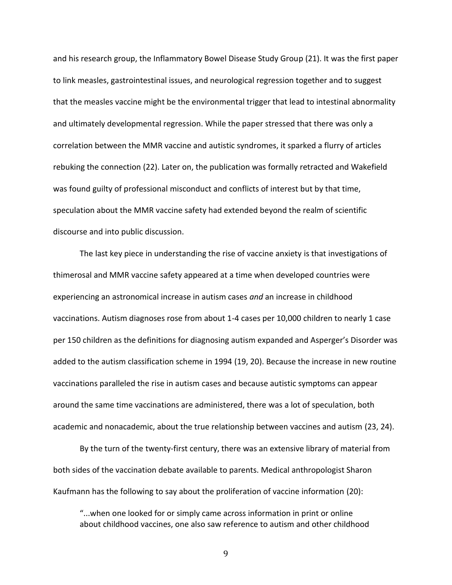and his research group, the Inflammatory Bowel Disease Study Group (21). It was the first paper to link measles, gastrointestinal issues, and neurological regression together and to suggest that the measles vaccine might be the environmental trigger that lead to intestinal abnormality and ultimately developmental regression. While the paper stressed that there was only a correlation between the MMR vaccine and autistic syndromes, it sparked a flurry of articles rebuking the connection (22). Later on, the publication was formally retracted and Wakefield was found guilty of professional misconduct and conflicts of interest but by that time, speculation about the MMR vaccine safety had extended beyond the realm of scientific discourse and into public discussion.

The last key piece in understanding the rise of vaccine anxiety is that investigations of thimerosal and MMR vaccine safety appeared at a time when developed countries were experiencing an astronomical increase in autism cases *and* an increase in childhood vaccinations. Autism diagnoses rose from about 1-4 cases per 10,000 children to nearly 1 case per 150 children as the definitions for diagnosing autism expanded and Asperger's Disorder was added to the autism classification scheme in 1994 (19, 20). Because the increase in new routine vaccinations paralleled the rise in autism cases and because autistic symptoms can appear around the same time vaccinations are administered, there was a lot of speculation, both academic and nonacademic, about the true relationship between vaccines and autism (23, 24).

By the turn of the twenty-first century, there was an extensive library of material from both sides of the vaccination debate available to parents. Medical anthropologist Sharon Kaufmann has the following to say about the proliferation of vaccine information (20):

"...when one looked for or simply came across information in print or online about childhood vaccines, one also saw reference to autism and other childhood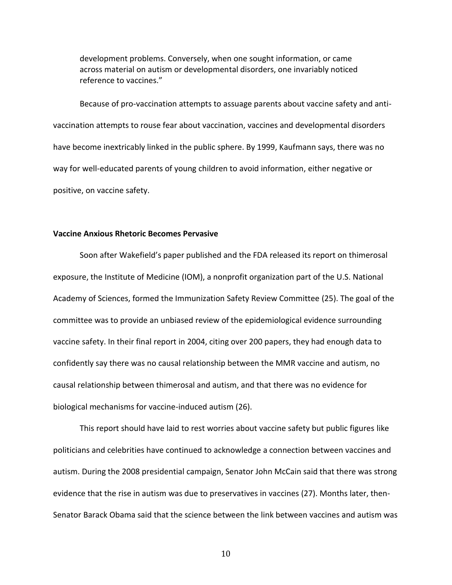development problems. Conversely, when one sought information, or came across material on autism or developmental disorders, one invariably noticed reference to vaccines."

Because of pro-vaccination attempts to assuage parents about vaccine safety and antivaccination attempts to rouse fear about vaccination, vaccines and developmental disorders have become inextricably linked in the public sphere. By 1999, Kaufmann says, there was no way for well-educated parents of young children to avoid information, either negative or positive, on vaccine safety.

### **Vaccine Anxious Rhetoric Becomes Pervasive**

Soon after Wakefield's paper published and the FDA released its report on thimerosal exposure, the Institute of Medicine (IOM), a nonprofit organization part of the U.S. National Academy of Sciences, formed the Immunization Safety Review Committee (25). The goal of the committee was to provide an unbiased review of the epidemiological evidence surrounding vaccine safety. In their final report in 2004, citing over 200 papers, they had enough data to confidently say there was no causal relationship between the MMR vaccine and autism, no causal relationship between thimerosal and autism, and that there was no evidence for biological mechanisms for vaccine-induced autism (26).

This report should have laid to rest worries about vaccine safety but public figures like politicians and celebrities have continued to acknowledge a connection between vaccines and autism. During the 2008 presidential campaign, Senator John McCain said that there was strong evidence that the rise in autism was due to preservatives in vaccines (27). Months later, then-Senator Barack Obama said that the science between the link between vaccines and autism was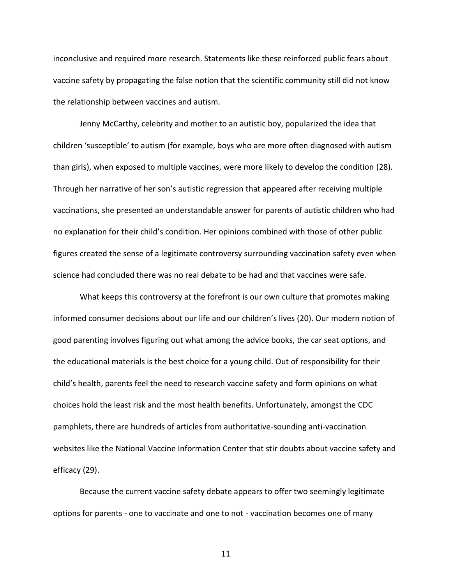inconclusive and required more research. Statements like these reinforced public fears about vaccine safety by propagating the false notion that the scientific community still did not know the relationship between vaccines and autism.

Jenny McCarthy, celebrity and mother to an autistic boy, popularized the idea that children 'susceptible' to autism (for example, boys who are more often diagnosed with autism than girls), when exposed to multiple vaccines, were more likely to develop the condition (28). Through her narrative of her son's autistic regression that appeared after receiving multiple vaccinations, she presented an understandable answer for parents of autistic children who had no explanation for their child's condition. Her opinions combined with those of other public figures created the sense of a legitimate controversy surrounding vaccination safety even when science had concluded there was no real debate to be had and that vaccines were safe.

What keeps this controversy at the forefront is our own culture that promotes making informed consumer decisions about our life and our children's lives (20). Our modern notion of good parenting involves figuring out what among the advice books, the car seat options, and the educational materials is the best choice for a young child. Out of responsibility for their child's health, parents feel the need to research vaccine safety and form opinions on what choices hold the least risk and the most health benefits. Unfortunately, amongst the CDC pamphlets, there are hundreds of articles from authoritative-sounding anti-vaccination websites like the National Vaccine Information Center that stir doubts about vaccine safety and efficacy (29).

Because the current vaccine safety debate appears to offer two seemingly legitimate options for parents - one to vaccinate and one to not - vaccination becomes one of many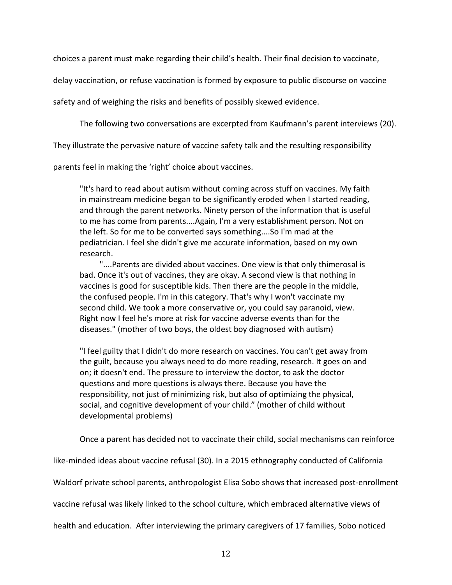choices a parent must make regarding their child's health. Their final decision to vaccinate,

delay vaccination, or refuse vaccination is formed by exposure to public discourse on vaccine

safety and of weighing the risks and benefits of possibly skewed evidence.

The following two conversations are excerpted from Kaufmann's parent interviews (20).

They illustrate the pervasive nature of vaccine safety talk and the resulting responsibility

parents feel in making the 'right' choice about vaccines.

"It's hard to read about autism without coming across stuff on vaccines. My faith in mainstream medicine began to be significantly eroded when I started reading, and through the parent networks. Ninety person of the information that is useful to me has come from parents....Again, I'm a very establishment person. Not on the left. So for me to be converted says something....So I'm mad at the pediatrician. I feel she didn't give me accurate information, based on my own research.

"....Parents are divided about vaccines. One view is that only thimerosal is bad. Once it's out of vaccines, they are okay. A second view is that nothing in vaccines is good for susceptible kids. Then there are the people in the middle, the confused people. I'm in this category. That's why I won't vaccinate my second child. We took a more conservative or, you could say paranoid, view. Right now I feel he's more at risk for vaccine adverse events than for the diseases." (mother of two boys, the oldest boy diagnosed with autism)

"I feel guilty that I didn't do more research on vaccines. You can't get away from the guilt, because you always need to do more reading, research. It goes on and on; it doesn't end. The pressure to interview the doctor, to ask the doctor questions and more questions is always there. Because you have the responsibility, not just of minimizing risk, but also of optimizing the physical, social, and cognitive development of your child." (mother of child without developmental problems)

Once a parent has decided not to vaccinate their child, social mechanisms can reinforce

like-minded ideas about vaccine refusal (30). In a 2015 ethnography conducted of California

Waldorf private school parents, anthropologist Elisa Sobo shows that increased post-enrollment

vaccine refusal was likely linked to the school culture, which embraced alternative views of

health and education. After interviewing the primary caregivers of 17 families, Sobo noticed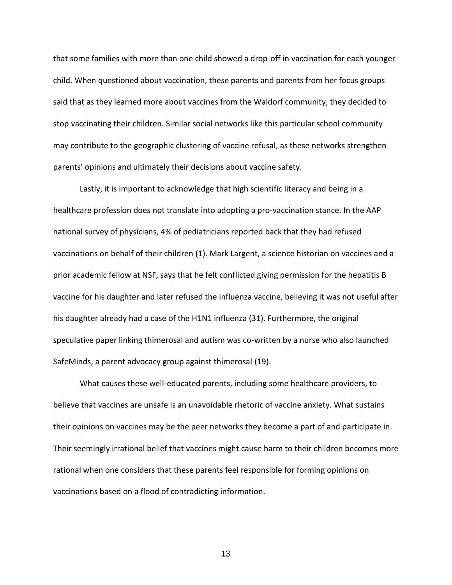that some families with more than one child showed a drop-off in vaccination for each younger child. When questioned about vaccination, these parents and parents from her focus groups said that as they learned more about vaccines from the Waldorf community, they decided to stop vaccinating their children. Similar social networks like this particular school community may contribute to the geographic clustering of vaccine refusal, as these networks strengthen parents' opinions and ultimately their decisions about vaccine safety.

Lastly, it is important to acknowledge that high scientific literacy and being in a healthcare profession does not translate into adopting a pro-vaccination stance. In the AAP national survey of physicians, 4% of pediatricians reported back that they had refused vaccinations on behalf of their children (1). Mark Largent, a science historian on vaccines and a prior academic fellow at NSF, says that he felt conflicted giving permission for the hepatitis B vaccine for his daughter and later refused the influenza vaccine, believing it was not useful after his daughter already had a case of the H1N1 influenza (31). Furthermore, the original speculative paper linking thimerosal and autism was co-written by a nurse who also launched SafeMinds, a parent advocacy group against thimerosal (19).

What causes these well-educated parents, including some healthcare providers, to believe that vaccines are unsafe is an unavoidable rhetoric of vaccine anxiety. What sustains their opinions on vaccines may be the peer networks they become a part of and participate in. Their seemingly irrational belief that vaccines might cause harm to their children becomes more rational when one considers that these parents feel responsible for forming opinions on vaccinations based on a flood of contradicting information.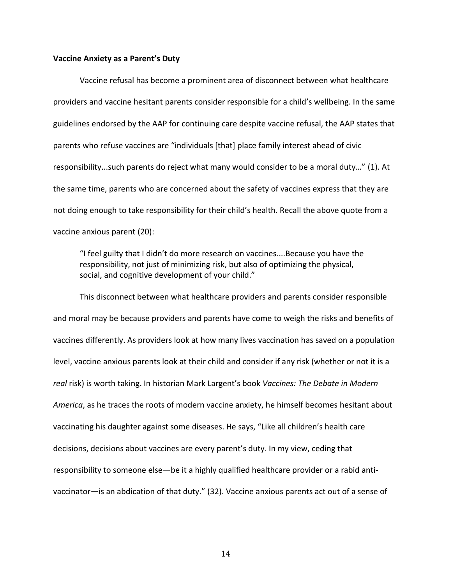#### **Vaccine Anxiety as a Parent's Duty**

Vaccine refusal has become a prominent area of disconnect between what healthcare providers and vaccine hesitant parents consider responsible for a child's wellbeing. In the same guidelines endorsed by the AAP for continuing care despite vaccine refusal, the AAP states that parents who refuse vaccines are "individuals [that] place family interest ahead of civic responsibility...such parents do reject what many would consider to be a moral duty…" (1). At the same time, parents who are concerned about the safety of vaccines express that they are not doing enough to take responsibility for their child's health. Recall the above quote from a vaccine anxious parent (20):

"I feel guilty that I didn't do more research on vaccines....Because you have the responsibility, not just of minimizing risk, but also of optimizing the physical, social, and cognitive development of your child."

This disconnect between what healthcare providers and parents consider responsible and moral may be because providers and parents have come to weigh the risks and benefits of vaccines differently. As providers look at how many lives vaccination has saved on a population level, vaccine anxious parents look at their child and consider if any risk (whether or not it is a *real* risk) is worth taking. In historian Mark Largent's book *Vaccines: The Debate in Modern America*, as he traces the roots of modern vaccine anxiety, he himself becomes hesitant about vaccinating his daughter against some diseases. He says, "Like all children's health care decisions, decisions about vaccines are every parent's duty. In my view, ceding that responsibility to someone else—be it a highly qualified healthcare provider or a rabid antivaccinator—is an abdication of that duty." (32). Vaccine anxious parents act out of a sense of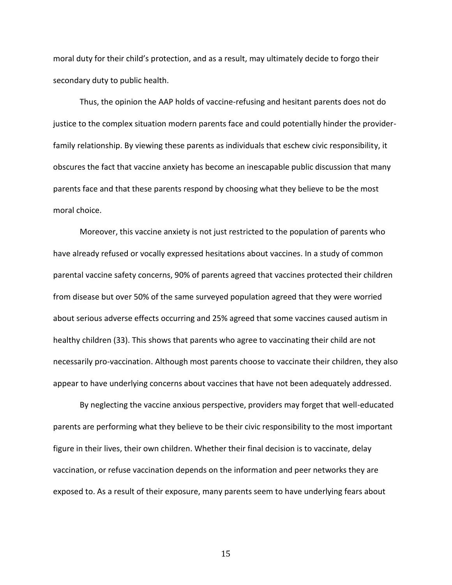moral duty for their child's protection, and as a result, may ultimately decide to forgo their secondary duty to public health.

Thus, the opinion the AAP holds of vaccine-refusing and hesitant parents does not do justice to the complex situation modern parents face and could potentially hinder the providerfamily relationship. By viewing these parents as individuals that eschew civic responsibility, it obscures the fact that vaccine anxiety has become an inescapable public discussion that many parents face and that these parents respond by choosing what they believe to be the most moral choice.

Moreover, this vaccine anxiety is not just restricted to the population of parents who have already refused or vocally expressed hesitations about vaccines. In a study of common parental vaccine safety concerns, 90% of parents agreed that vaccines protected their children from disease but over 50% of the same surveyed population agreed that they were worried about serious adverse effects occurring and 25% agreed that some vaccines caused autism in healthy children (33). This shows that parents who agree to vaccinating their child are not necessarily pro-vaccination. Although most parents choose to vaccinate their children, they also appear to have underlying concerns about vaccines that have not been adequately addressed.

By neglecting the vaccine anxious perspective, providers may forget that well-educated parents are performing what they believe to be their civic responsibility to the most important figure in their lives, their own children. Whether their final decision is to vaccinate, delay vaccination, or refuse vaccination depends on the information and peer networks they are exposed to. As a result of their exposure, many parents seem to have underlying fears about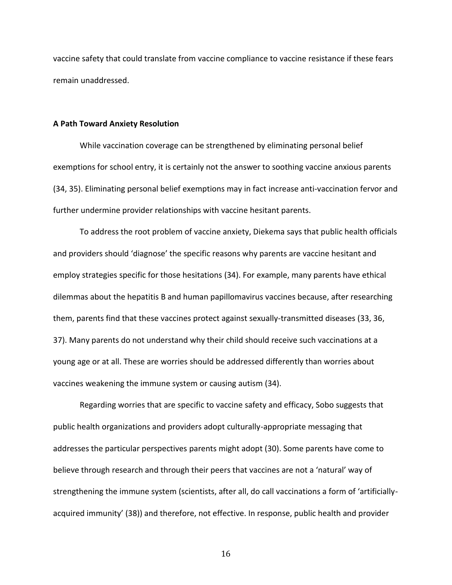vaccine safety that could translate from vaccine compliance to vaccine resistance if these fears remain unaddressed.

#### **A Path Toward Anxiety Resolution**

While vaccination coverage can be strengthened by eliminating personal belief exemptions for school entry, it is certainly not the answer to soothing vaccine anxious parents (34, 35). Eliminating personal belief exemptions may in fact increase anti-vaccination fervor and further undermine provider relationships with vaccine hesitant parents.

To address the root problem of vaccine anxiety, Diekema says that public health officials and providers should 'diagnose' the specific reasons why parents are vaccine hesitant and employ strategies specific for those hesitations (34). For example, many parents have ethical dilemmas about the hepatitis B and human papillomavirus vaccines because, after researching them, parents find that these vaccines protect against sexually-transmitted diseases (33, 36, 37). Many parents do not understand why their child should receive such vaccinations at a young age or at all. These are worries should be addressed differently than worries about vaccines weakening the immune system or causing autism (34).

Regarding worries that are specific to vaccine safety and efficacy, Sobo suggests that public health organizations and providers adopt culturally-appropriate messaging that addresses the particular perspectives parents might adopt (30). Some parents have come to believe through research and through their peers that vaccines are not a 'natural' way of strengthening the immune system (scientists, after all, do call vaccinations a form of 'artificiallyacquired immunity' (38)) and therefore, not effective. In response, public health and provider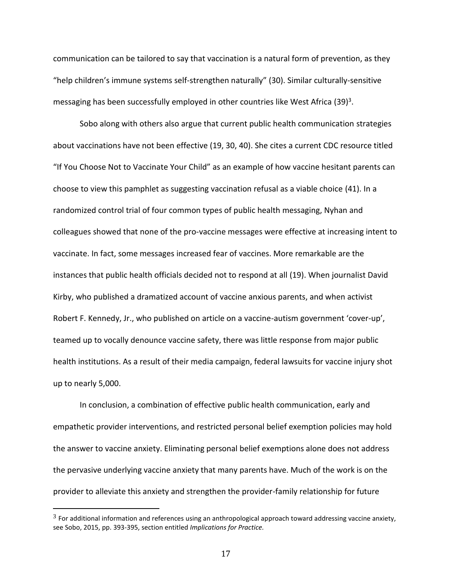communication can be tailored to say that vaccination is a natural form of prevention, as they "help children's immune systems self-strengthen naturally" (30). Similar culturally-sensitive messaging has been successfully employed in other countries like West Africa (39)<sup>3</sup>.

Sobo along with others also argue that current public health communication strategies about vaccinations have not been effective (19, 30, 40). She cites a current CDC resource titled "If You Choose Not to Vaccinate Your Child" as an example of how vaccine hesitant parents can choose to view this pamphlet as suggesting vaccination refusal as a viable choice (41). In a randomized control trial of four common types of public health messaging, Nyhan and colleagues showed that none of the pro-vaccine messages were effective at increasing intent to vaccinate. In fact, some messages increased fear of vaccines. More remarkable are the instances that public health officials decided not to respond at all (19). When journalist David Kirby, who published a dramatized account of vaccine anxious parents, and when activist Robert F. Kennedy, Jr., who published on article on a vaccine-autism government 'cover-up', teamed up to vocally denounce vaccine safety, there was little response from major public health institutions. As a result of their media campaign, federal lawsuits for vaccine injury shot up to nearly 5,000.

In conclusion, a combination of effective public health communication, early and empathetic provider interventions, and restricted personal belief exemption policies may hold the answer to vaccine anxiety. Eliminating personal belief exemptions alone does not address the pervasive underlying vaccine anxiety that many parents have. Much of the work is on the provider to alleviate this anxiety and strengthen the provider-family relationship for future

 $\overline{\phantom{a}}$ 

 $3$  For additional information and references using an anthropological approach toward addressing vaccine anxiety, see Sobo, 2015, pp. 393-395, section entitled *Implications for Practice.*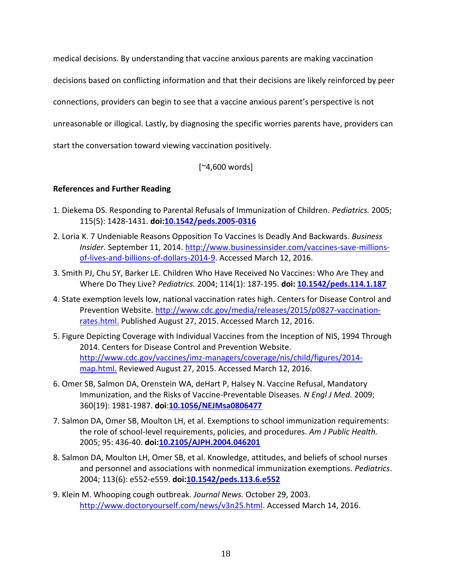medical decisions. By understanding that vaccine anxious parents are making vaccination

decisions based on conflicting information and that their decisions are likely reinforced by peer

connections, providers can begin to see that a vaccine anxious parent's perspective is not

unreasonable or illogical. Lastly, by diagnosing the specific worries parents have, providers can

start the conversation toward viewing vaccination positively.

[~4,600 words]

# **References and Further Reading**

- 1. Diekema DS. Responding to Parental Refusals of Immunization of Children. *Pediatrics.* 2005; 115(5): 1428-1431. **doi[:10.1542/peds.2005-0316](http://dx.doi.org/10.1542/peds.2005-0316)**
- 2. Loria K. 7 Undeniable Reasons Opposition To Vaccines Is Deadly And Backwards. *Business Insider.* September 11, 2014. [http://www.businessinsider.com/vaccines-save-millions](http://www.businessinsider.com/vaccines-save-millions-of-lives-and-billions-of-dollars-2014-9)[of-lives-and-billions-of-dollars-2014-9.](http://www.businessinsider.com/vaccines-save-millions-of-lives-and-billions-of-dollars-2014-9) Accessed March 12, 2016.
- 3. Smith PJ, Chu SY, Barker LE. Children Who Have Received No Vaccines: Who Are They and Where Do They Live? *Pediatrics.* 2004; 114(1): 187-195. **doi: [10.1542/peds.114.1.187](http://dx.doi.org/10.1542/peds.114.1.187)**
- 4. State exemption levels low, national vaccination rates high. Centers for Disease Control and Prevention Website. [http://www.cdc.gov/media/releases/2015/p0827-vaccination](http://www.cdc.gov/media/releases/2015/p0827-vaccination-rates.html)[rates.html.](http://www.cdc.gov/media/releases/2015/p0827-vaccination-rates.html) Published August 27, 2015. Accessed March 12, 2016.
- 5. Figure Depicting Coverage with Individual Vaccines from the Inception of NIS, 1994 Through 2014. Centers for Disease Control and Prevention Website. [http://www.cdc.gov/vaccines/imz-managers/coverage/nis/child/figures/2014](http://www.cdc.gov/vaccines/imz-managers/coverage/nis/child/figures/2014-map.html) [map.html.](http://www.cdc.gov/vaccines/imz-managers/coverage/nis/child/figures/2014-map.html) Reviewed August 27, 2015. Accessed March 12, 2016.
- 6. Omer SB, Salmon DA, Orenstein WA, deHart P, Halsey N. Vaccine Refusal, Mandatory Immunization, and the Risks of Vaccine-Preventable Diseases. *N Engl J Med.* 2009; 360(19): 1981-1987. **doi**:**[10.1056/NEJMsa0806477](http://dx.doi.org/10.1056/NEJMsa0806477)**
- 7. Salmon DA, Omer SB, Moulton LH, et al. Exemptions to school immunization requirements: the role of school-level requirements, policies, and procedures. *Am J Public Health.*  2005; 95: 436-40. **doi[:10.2105/AJPH.2004.046201](http://dx.doi.org/10.2105/AJPH.2004.046201)**
- 8. Salmon DA, Moulton LH, Omer SB, et al. Knowledge, attitudes, and beliefs of school nurses and personnel and associations with nonmedical immunization exemptions. *Pediatrics*. 2004; 113(6): e552-e559. **doi[:10.1542/peds.113.6.e552](http://dx.doi.org/10.1542/peds.113.6.e552)**
- 9. Klein M. Whooping cough outbreak. *Journal News.* October 29, 2003. [http://www.doctoryourself.com/news/v3n25.html.](https://www.google.com/url?q=http://www.doctoryourself.com/news/v3n25.html&sa=D&ust=1458334471547000&usg=AFQjCNG9J89suXUrUK2JqizVDm8uWKb_9g) Accessed March 14, 2016.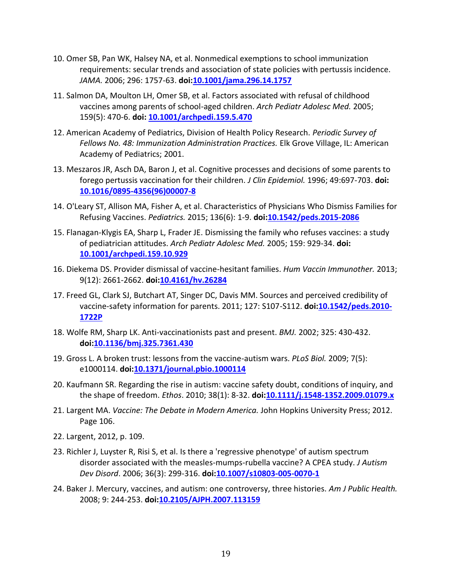- 10. Omer SB, Pan WK, Halsey NA, et al. Nonmedical exemptions to school immunization requirements: secular trends and association of state policies with pertussis incidence. *JAMA.* 2006; 296: 1757-63. **doi[:10.1001/jama.296.14.1757](http://dx.doi.org/10.1001/jama.296.14.1757)**
- 11. Salmon DA, Moulton LH, Omer SB, et al. Factors associated with refusal of childhood vaccines among parents of school-aged children. *Arch Pediatr Adolesc Med.* 2005; 159(5): 470-6. **doi: [10.1001/archpedi.159.5.470](http://dx.doi.org/10.1001/archpedi.159.5.470)**
- 12. American Academy of Pediatrics, Division of Health Policy Research. *Periodic Survey of Fellows No. 48: Immunization Administration Practices.* Elk Grove Village, IL: American Academy of Pediatrics; 2001.
- 13. Meszaros JR, Asch DA, Baron J, et al. Cognitive processes and decisions of some parents to forego pertussis vaccination for their children. *J Clin Epidemiol.* 1996; 49:697-703. **doi: [10.1016/0895-4356\(96\)00007-8](http://dx.doi.org/10.1016/0895-4356(96)00007-8)**
- 14. O'Leary ST, Allison MA, Fisher A, et al. Characteristics of Physicians Who Dismiss Families for Refusing Vaccines. *Pediatrics.* 2015; 136(6): 1-9. **doi[:10.1542/peds.2015-2086](http://dx.doi.org/10.1542/peds.2015-2086)**
- 15. Flanagan-Klygis EA, Sharp L, Frader JE. Dismissing the family who refuses vaccines: a study of pediatrician attitudes. *Arch Pediatr Adolesc Med.* 2005; 159: 929-34. **doi: [10.1001/archpedi.159.10.929](http://dx.doi.org/10.1001/archpedi.159.10.929)**
- 16. Diekema DS. Provider dismissal of vaccine-hesitant families. *Hum Vaccin Immunother.* 2013; 9(12): 2661-2662. **doi[:10.4161/hv.26284](http://dx.doi.org/10.4161/Fhv.26284)**
- 17. Freed GL, Clark SJ, Butchart AT, Singer DC, Davis MM. Sources and perceived credibility of vaccine-safety information for parents. 2011; 127: S107-S112. **doi[:10.1542/peds.2010-](http://dx.doi.org/10.1542/peds.2010-1722P) [1722P](http://dx.doi.org/10.1542/peds.2010-1722P)**
- 18. Wolfe RM, Sharp LK. Anti-vaccinationists past and present. *BMJ.* 2002; 325: 430-432. **doi[:10.1136/bmj.325.7361.430](http://dx.doi.org/10.1136/bmj.325.7361.430)**
- 19. Gross L. A broken trust: lessons from the vaccine-autism wars. *PLoS Biol.* 2009; 7(5): e1000114. **doi[:10.1371/journal.pbio.1000114](http://dx.doi.org/10.1371/journal.pbio.1000114)**
- 20. Kaufmann SR. Regarding the rise in autism: vaccine safety doubt, conditions of inquiry, and the shape of freedom. *Ethos*. 2010; 38(1): 8-32. **doi[:10.1111/j.1548-1352.2009.01079.x](http://dx.doi.org/10.1111/j.1548-1352.2009.01079.x)**
- 21. Largent MA. *Vaccine: The Debate in Modern America.* John Hopkins University Press; 2012. Page 106.
- 22. Largent, 2012, p. 109.
- 23. Richler J, Luyster R, Risi S, et al. Is there a 'regressive phenotype' of autism spectrum disorder associated with the measles-mumps-rubella vaccine? A CPEA study. *J Autism Dev Disord*. 2006; 36(3): 299-316. **doi[:10.1007/s10803-005-0070-1](http://dx.doi.org/10.1007/s10803-005-0070-1)**
- 24. Baker J. Mercury, vaccines, and autism: one controversy, three histories. *Am J Public Health.* 2008; 9: 244-253. **doi[:10.2105/AJPH.2007.113159](http://dx.doi.org/10.2105/AJPH.2007.113159)**